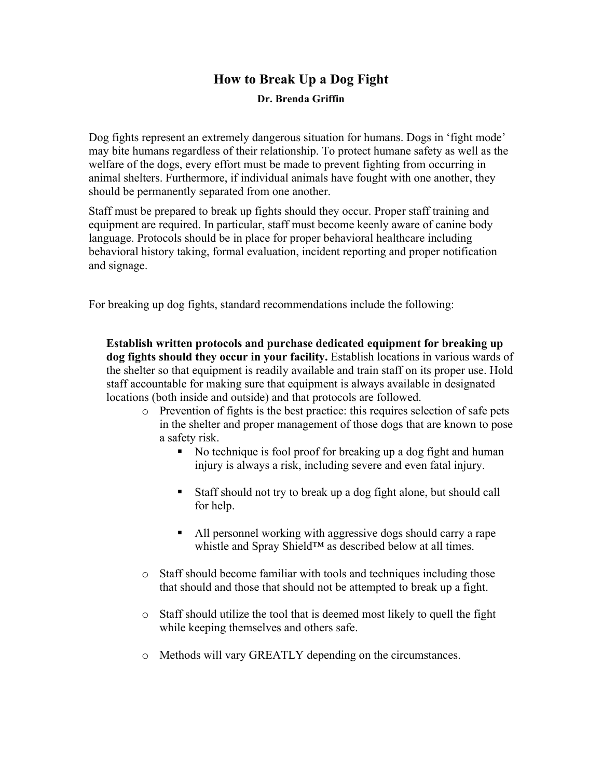## **How to Break Up a Dog Fight Dr. Brenda Griffin**

Dog fights represent an extremely dangerous situation for humans. Dogs in 'fight mode' may bite humans regardless of their relationship. To protect humane safety as well as the welfare of the dogs, every effort must be made to prevent fighting from occurring in animal shelters. Furthermore, if individual animals have fought with one another, they should be permanently separated from one another.

Staff must be prepared to break up fights should they occur. Proper staff training and equipment are required. In particular, staff must become keenly aware of canine body language. Protocols should be in place for proper behavioral healthcare including behavioral history taking, formal evaluation, incident reporting and proper notification and signage.

For breaking up dog fights, standard recommendations include the following:

**Establish written protocols and purchase dedicated equipment for breaking up dog fights should they occur in your facility.** Establish locations in various wards of the shelter so that equipment is readily available and train staff on its proper use. Hold staff accountable for making sure that equipment is always available in designated locations (both inside and outside) and that protocols are followed.

- o Prevention of fights is the best practice: this requires selection of safe pets in the shelter and proper management of those dogs that are known to pose a safety risk.
	- No technique is fool proof for breaking up a dog fight and human injury is always a risk, including severe and even fatal injury.
	- Staff should not try to break up a dog fight alone, but should call for help.
	- All personnel working with aggressive dogs should carry a rape whistle and Spray Shield™ as described below at all times.
- o Staff should become familiar with tools and techniques including those that should and those that should not be attempted to break up a fight.
- o Staff should utilize the tool that is deemed most likely to quell the fight while keeping themselves and others safe.
- o Methods will vary GREATLY depending on the circumstances.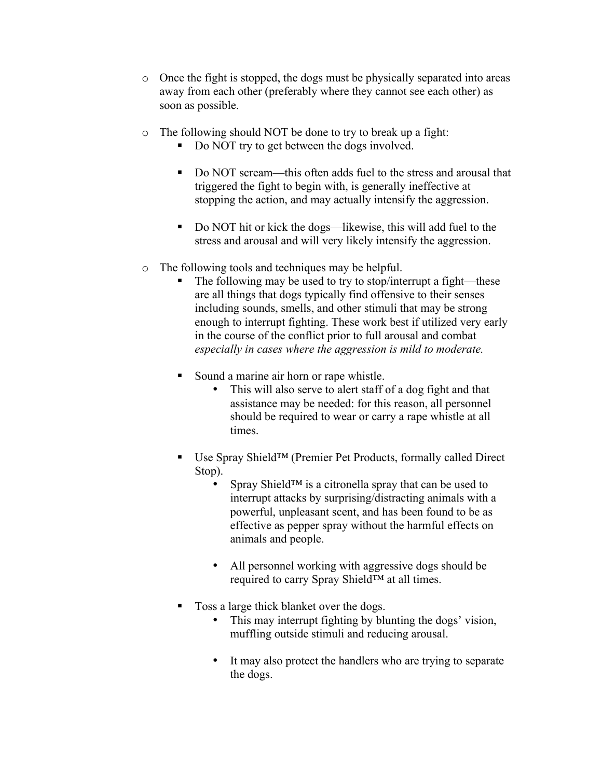- o Once the fight is stopped, the dogs must be physically separated into areas away from each other (preferably where they cannot see each other) as soon as possible.
- o The following should NOT be done to try to break up a fight:
	- Do NOT try to get between the dogs involved.
	- Do NOT scream—this often adds fuel to the stress and arousal that triggered the fight to begin with, is generally ineffective at stopping the action, and may actually intensify the aggression.
	- Do NOT hit or kick the dogs—likewise, this will add fuel to the stress and arousal and will very likely intensify the aggression.
- o The following tools and techniques may be helpful.
	- The following may be used to try to stop/interrupt a fight—these are all things that dogs typically find offensive to their senses including sounds, smells, and other stimuli that may be strong enough to interrupt fighting. These work best if utilized very early in the course of the conflict prior to full arousal and combat *especially in cases where the aggression is mild to moderate.*
	- Sound a marine air horn or rape whistle.
		- This will also serve to alert staff of a dog fight and that assistance may be needed: for this reason, all personnel should be required to wear or carry a rape whistle at all times.
	- Use Spray Shield™ (Premier Pet Products, formally called Direct Stop).
		- Spray Shield<sup>™</sup> is a citronella spray that can be used to interrupt attacks by surprising/distracting animals with a powerful, unpleasant scent, and has been found to be as effective as pepper spray without the harmful effects on animals and people.
		- All personnel working with aggressive dogs should be required to carry Spray Shield™ at all times.
	- Toss a large thick blanket over the dogs.
		- This may interrupt fighting by blunting the dogs' vision, muffling outside stimuli and reducing arousal.
		- It may also protect the handlers who are trying to separate the dogs.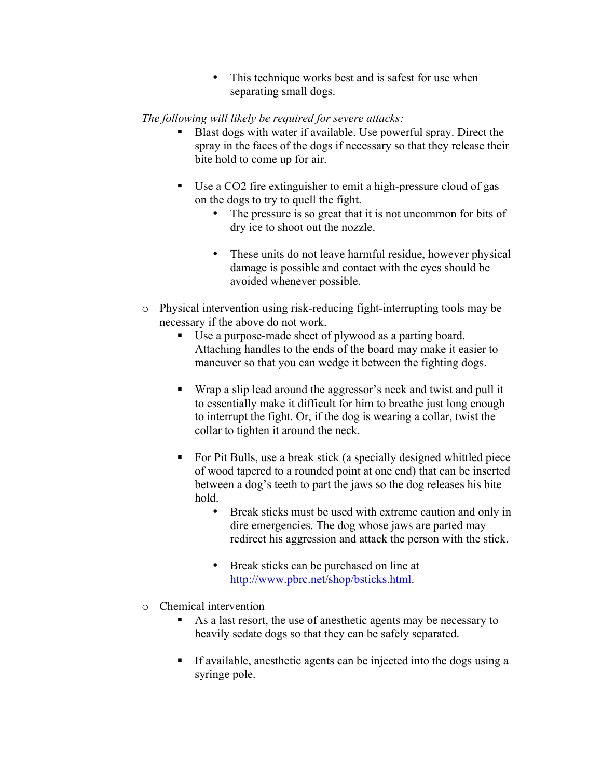• This technique works best and is safest for use when separating small dogs.

## *The following will likely be required for severe attacks:*

- Blast dogs with water if available. Use powerful spray. Direct the spray in the faces of the dogs if necessary so that they release their bite hold to come up for air.
- Use a CO2 fire extinguisher to emit a high-pressure cloud of gas on the dogs to try to quell the fight.
	- The pressure is so great that it is not uncommon for bits of dry ice to shoot out the nozzle.
	- These units do not leave harmful residue, however physical damage is possible and contact with the eyes should be avoided whenever possible.
- o Physical intervention using risk-reducing fight-interrupting tools may be necessary if the above do not work.
	- Use a purpose-made sheet of plywood as a parting board. Attaching handles to the ends of the board may make it easier to maneuver so that you can wedge it between the fighting dogs.
	- Wrap a slip lead around the aggressor's neck and twist and pull it to essentially make it difficult for him to breathe just long enough to interrupt the fight. Or, if the dog is wearing a collar, twist the collar to tighten it around the neck.
	- For Pit Bulls, use a break stick (a specially designed whittled piece of wood tapered to a rounded point at one end) that can be inserted between a dog's teeth to part the jaws so the dog releases his bite hold.
		- Break sticks must be used with extreme caution and only in dire emergencies. The dog whose jaws are parted may redirect his aggression and attack the person with the stick.
		- Break sticks can be purchased on line at http://www.pbrc.net/shop/bsticks.html.
- o Chemical intervention
	- As a last resort, the use of anesthetic agents may be necessary to heavily sedate dogs so that they can be safely separated.
	- If available, anesthetic agents can be injected into the dogs using a syringe pole.